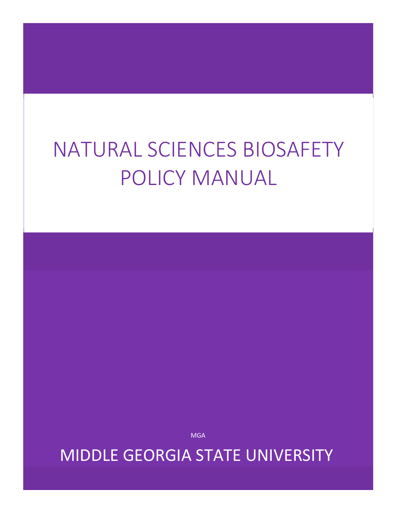# NATURAL SCIENCES BIOSAFETY POLICY MANUAL

**MGA** 

MIDDLE GEORGIA STATE UNIVERSITY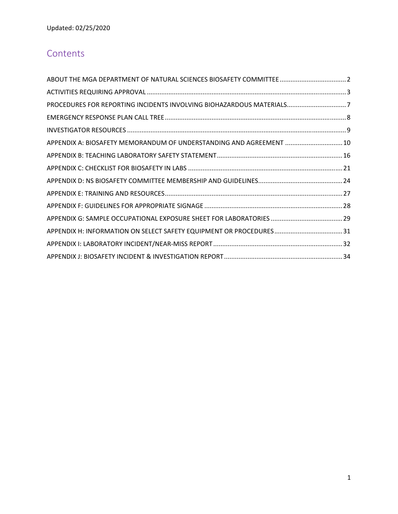# **Contents**

| PROCEDURES FOR REPORTING INCIDENTS INVOLVING BIOHAZARDOUS MATERIALS7 |  |
|----------------------------------------------------------------------|--|
|                                                                      |  |
|                                                                      |  |
| APPENDIX A: BIOSAFETY MEMORANDUM OF UNDERSTANDING AND AGREEMENT  10  |  |
|                                                                      |  |
|                                                                      |  |
|                                                                      |  |
|                                                                      |  |
|                                                                      |  |
|                                                                      |  |
|                                                                      |  |
|                                                                      |  |
|                                                                      |  |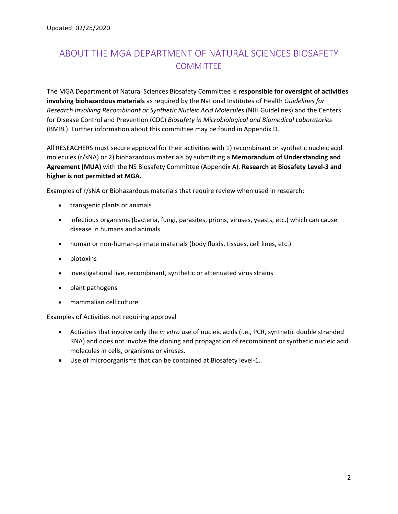# ABOUT THE MGA DEPARTMENT OF NATURAL SCIENCES BIOSAFETY **COMMITTEE**

The MGA Department of Natural Sciences Biosafety Committee is **responsible for oversight of activities involving biohazardous materials** as required by the National Institutes of Health *Guidelines for Research Involving Recombinant or Synthetic Nucleic Acid Molecules* (NIH Guidelines) and the Centers for Disease Control and Prevention (CDC) *Biosafety in Microbiological and Biomedical Laboratories*  (BMBL). Further information about this committee may be found in Appendix D.

All RESEACHERS must secure approval for their activities with 1) recombinant or synthetic nucleic acid molecules (r/sNA) or 2) biohazardous materials by submitting a **Memorandum of Understanding and Agreement (MUA)** with the NS Biosafety Committee (Appendix A). **Research at Biosafety Level‐3 and higher is not permitted at MGA.** 

Examples of r/sNA or Biohazardous materials that require review when used in research:

- transgenic plants or animals
- infectious organisms (bacteria, fungi, parasites, prions, viruses, yeasts, etc.) which can cause disease in humans and animals
- human or non-human-primate materials (body fluids, tissues, cell lines, etc.)
- biotoxins
- investigational live, recombinant, synthetic or attenuated virus strains
- plant pathogens
- mammalian cell culture

Examples of Activities not requiring approval

- Activities that involve only the *in vitro* use of nucleic acids (i.e., PCR, synthetic double stranded RNA) and does not involve the cloning and propagation of recombinant or synthetic nucleic acid molecules in cells, organisms or viruses.
- Use of microorganisms that can be contained at Biosafety level‐1.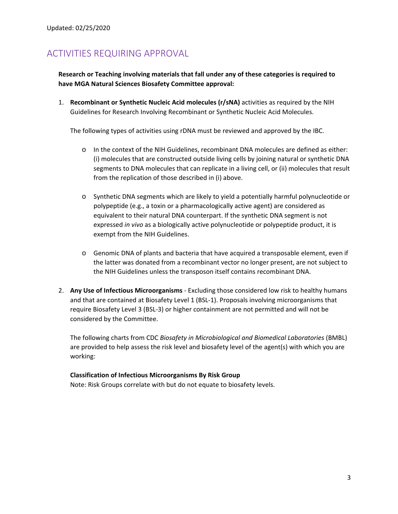# ACTIVITIES REQUIRING APPROVAL

**Research or Teaching involving materials that fall under any of these categories is required to have MGA Natural Sciences Biosafety Committee approval:** 

1. **Recombinant or Synthetic Nucleic Acid molecules (r/sNA)** activities as required by the NIH Guidelines for Research Involving Recombinant or Synthetic Nucleic Acid Molecules.

The following types of activities using rDNA must be reviewed and approved by the IBC.

- o In the context of the NIH Guidelines, recombinant DNA molecules are defined as either: (i) molecules that are constructed outside living cells by joining natural or synthetic DNA segments to DNA molecules that can replicate in a living cell, or (ii) molecules that result from the replication of those described in (i) above.
- o Synthetic DNA segments which are likely to yield a potentially harmful polynucleotide or polypeptide (e.g., a toxin or a pharmacologically active agent) are considered as equivalent to their natural DNA counterpart. If the synthetic DNA segment is not expressed *in vivo* as a biologically active polynucleotide or polypeptide product, it is exempt from the NIH Guidelines.
- o Genomic DNA of plants and bacteria that have acquired a transposable element, even if the latter was donated from a recombinant vector no longer present, are not subject to the NIH Guidelines unless the transposon itself contains recombinant DNA.
- 2. **Any Use of Infectious Microorganisms** ‐ Excluding those considered low risk to healthy humans and that are contained at Biosafety Level 1 (BSL‐1). Proposals involving microorganisms that require Biosafety Level 3 (BSL‐3) or higher containment are not permitted and will not be considered by the Committee.

The following charts from CDC *Biosafety in Microbiological and Biomedical Laboratories* (BMBL) are provided to help assess the risk level and biosafety level of the agent(s) with which you are working:

# **Classification of Infectious Microorganisms By Risk Group**

Note: Risk Groups correlate with but do not equate to biosafety levels.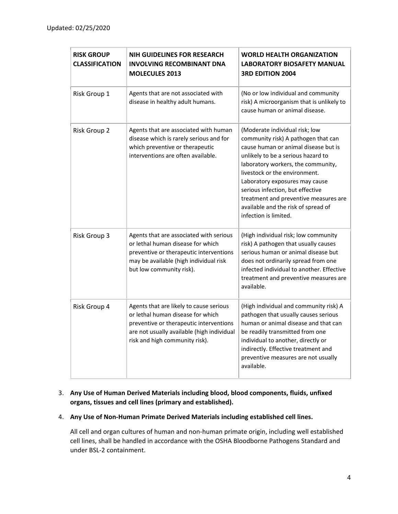| <b>RISK GROUP</b><br><b>CLASSIFICATION</b> | <b>NIH GUIDELINES FOR RESEARCH</b><br><b>INVOLVING RECOMBINANT DNA</b><br><b>MOLECULES 2013</b>                                                                                                         | <b>WORLD HEALTH ORGANIZATION</b><br><b>LABORATORY BIOSAFETY MANUAL</b><br><b>3RD EDITION 2004</b>                                                                                                                                                                                                                                                                                                         |
|--------------------------------------------|---------------------------------------------------------------------------------------------------------------------------------------------------------------------------------------------------------|-----------------------------------------------------------------------------------------------------------------------------------------------------------------------------------------------------------------------------------------------------------------------------------------------------------------------------------------------------------------------------------------------------------|
| Risk Group 1                               | Agents that are not associated with<br>disease in healthy adult humans.                                                                                                                                 | (No or low individual and community<br>risk) A microorganism that is unlikely to<br>cause human or animal disease.                                                                                                                                                                                                                                                                                        |
| Risk Group 2                               | Agents that are associated with human<br>disease which is rarely serious and for<br>which preventive or therapeutic<br>interventions are often available.                                               | (Moderate individual risk; low<br>community risk) A pathogen that can<br>cause human or animal disease but is<br>unlikely to be a serious hazard to<br>laboratory workers, the community,<br>livestock or the environment.<br>Laboratory exposures may cause<br>serious infection, but effective<br>treatment and preventive measures are<br>available and the risk of spread of<br>infection is limited. |
| Risk Group 3                               | Agents that are associated with serious<br>or lethal human disease for which<br>preventive or therapeutic interventions<br>may be available (high individual risk<br>but low community risk).           | (High individual risk; low community<br>risk) A pathogen that usually causes<br>serious human or animal disease but<br>does not ordinarily spread from one<br>infected individual to another. Effective<br>treatment and preventive measures are<br>available.                                                                                                                                            |
| Risk Group 4                               | Agents that are likely to cause serious<br>or lethal human disease for which<br>preventive or therapeutic interventions<br>are not usually available (high individual<br>risk and high community risk). | (High individual and community risk) A<br>pathogen that usually causes serious<br>human or animal disease and that can<br>be readily transmitted from one<br>individual to another, directly or<br>indirectly. Effective treatment and<br>preventive measures are not usually<br>available.                                                                                                               |

# 3. **Any Use of Human Derived Materials including blood, blood components, fluids, unfixed organs, tissues and cell lines (primary and established).**

## 4. **Any Use of Non‐Human Primate Derived Materials including established cell lines.**

All cell and organ cultures of human and non‐human primate origin, including well established cell lines, shall be handled in accordance with the OSHA Bloodborne Pathogens Standard and under BSL‐2 containment.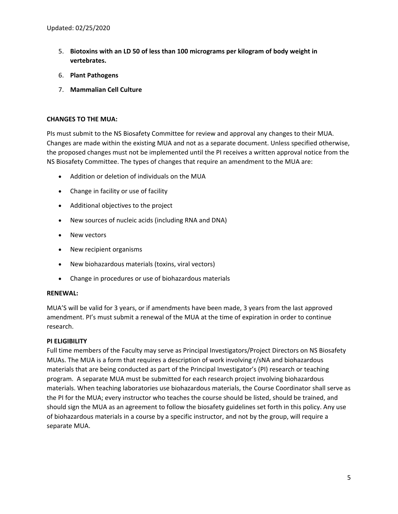- 5. **Biotoxins with an LD 50 of less than 100 micrograms per kilogram of body weight in vertebrates.**
- 6. **Plant Pathogens**
- 7. **Mammalian Cell Culture**

## **CHANGES TO THE MUA:**

PIs must submit to the NS Biosafety Committee for review and approval any changes to their MUA. Changes are made within the existing MUA and not as a separate document. Unless specified otherwise, the proposed changes must not be implemented until the PI receives a written approval notice from the NS Biosafety Committee. The types of changes that require an amendment to the MUA are:

- Addition or deletion of individuals on the MUA
- Change in facility or use of facility
- Additional objectives to the project
- New sources of nucleic acids (including RNA and DNA)
- New vectors
- New recipient organisms
- New biohazardous materials (toxins, viral vectors)
- Change in procedures or use of biohazardous materials

#### **RENEWAL:**

MUA'S will be valid for 3 years, or if amendments have been made, 3 years from the last approved amendment. PI's must submit a renewal of the MUA at the time of expiration in order to continue research.

#### **PI ELIGIBILITY**

Full time members of the Faculty may serve as Principal Investigators/Project Directors on NS Biosafety MUAs. The MUA is a form that requires a description of work involving r/sNA and biohazardous materials that are being conducted as part of the Principal Investigator's (PI) research or teaching program. A separate MUA must be submitted for each research project involving biohazardous materials. When teaching laboratories use biohazardous materials, the Course Coordinator shall serve as the PI for the MUA; every instructor who teaches the course should be listed, should be trained, and should sign the MUA as an agreement to follow the biosafety guidelines set forth in this policy. Any use of biohazardous materials in a course by a specific instructor, and not by the group, will require a separate MUA.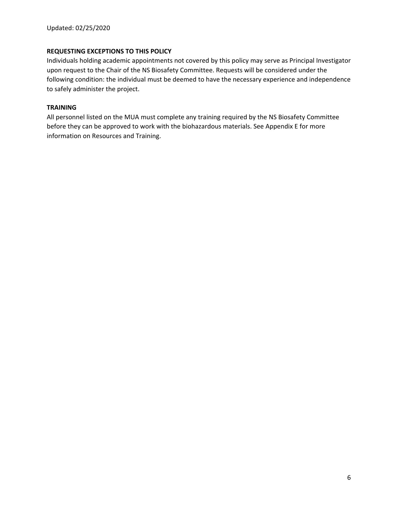## **REQUESTING EXCEPTIONS TO THIS POLICY**

Individuals holding academic appointments not covered by this policy may serve as Principal Investigator upon request to the Chair of the NS Biosafety Committee. Requests will be considered under the following condition: the individual must be deemed to have the necessary experience and independence to safely administer the project.

## **TRAINING**

All personnel listed on the MUA must complete any training required by the NS Biosafety Committee before they can be approved to work with the biohazardous materials. See Appendix E for more information on Resources and Training.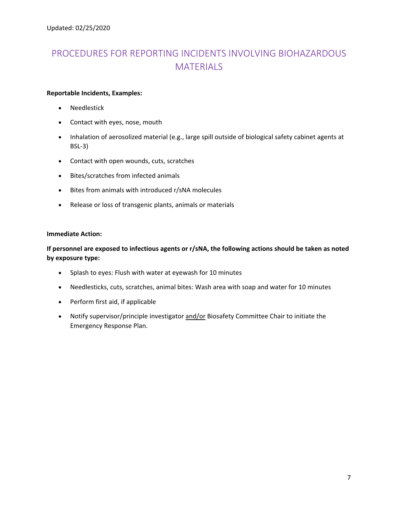# PROCEDURES FOR REPORTING INCIDENTS INVOLVING BIOHAZARDOUS **MATERIALS**

## **Reportable Incidents, Examples:**

- Needlestick
- Contact with eyes, nose, mouth
- Inhalation of aerosolized material (e.g., large spill outside of biological safety cabinet agents at BSL‐3)
- Contact with open wounds, cuts, scratches
- Bites/scratches from infected animals
- Bites from animals with introduced r/sNA molecules
- Release or loss of transgenic plants, animals or materials

## **Immediate Action:**

# **If personnel are exposed to infectious agents or r/sNA, the following actions should be taken as noted by exposure type:**

- Splash to eyes: Flush with water at eyewash for 10 minutes
- Needlesticks, cuts, scratches, animal bites: Wash area with soap and water for 10 minutes
- Perform first aid, if applicable
- Notify supervisor/principle investigator and/or Biosafety Committee Chair to initiate the Emergency Response Plan.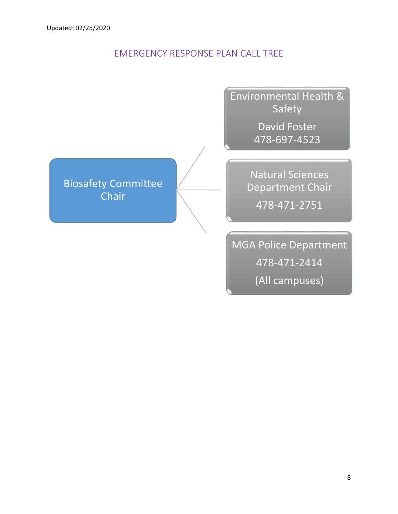# EMERGENCY RESPONSE PLAN CALL TREE

Environmental Health & Safety

> David Foster 478‐697‐4523

Natural Sciences

Department Chair

478‐471‐2751

Biosafety Committee **Chair** 

> MGA Police Department 478‐471‐2414 (All campuses)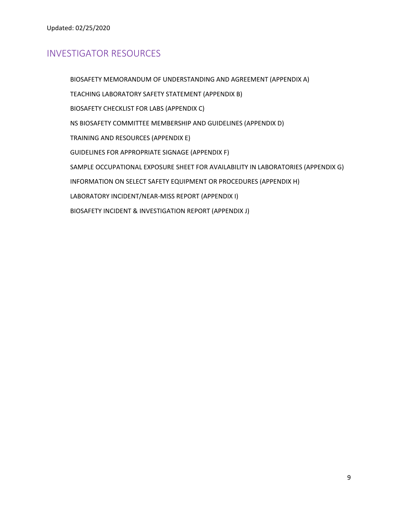# INVESTIGATOR RESOURCES

 BIOSAFETY MEMORANDUM OF UNDERSTANDING AND AGREEMENT (APPENDIX A) TEACHING LABORATORY SAFETY STATEMENT (APPENDIX B) BIOSAFETY CHECKLIST FOR LABS (APPENDIX C) NS BIOSAFETY COMMITTEE MEMBERSHIP AND GUIDELINES (APPENDIX D) TRAINING AND RESOURCES (APPENDIX E) GUIDELINES FOR APPROPRIATE SIGNAGE (APPENDIX F) SAMPLE OCCUPATIONAL EXPOSURE SHEET FOR AVAILABILITY IN LABORATORIES (APPENDIX G) INFORMATION ON SELECT SAFETY EQUIPMENT OR PROCEDURES (APPENDIX H) LABORATORY INCIDENT/NEAR‐MISS REPORT (APPENDIX I) BIOSAFETY INCIDENT & INVESTIGATION REPORT (APPENDIX J)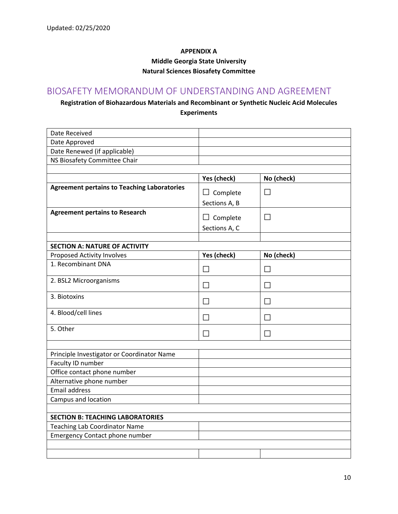## **APPENDIX A**

**Middle Georgia State University** 

#### **Natural Sciences Biosafety Committee**

# BIOSAFETY MEMORANDUM OF UNDERSTANDING AND AGREEMENT

# **Registration of Biohazardous Materials and Recombinant or Synthetic Nucleic Acid Molecules Experiments**

| Date Received                                      |                 |              |
|----------------------------------------------------|-----------------|--------------|
| Date Approved                                      |                 |              |
| Date Renewed (if applicable)                       |                 |              |
| NS Biosafety Committee Chair                       |                 |              |
|                                                    |                 |              |
|                                                    | Yes (check)     | No (check)   |
| <b>Agreement pertains to Teaching Laboratories</b> | $\Box$ Complete | $\mathbf{L}$ |
|                                                    | Sections A, B   |              |
| <b>Agreement pertains to Research</b>              |                 |              |
|                                                    | $\Box$ Complete | $\mathsf{L}$ |
|                                                    | Sections A, C   |              |
|                                                    |                 |              |
| <b>SECTION A: NATURE OF ACTIVITY</b>               |                 |              |
| Proposed Activity Involves                         | Yes (check)     | No (check)   |
| 1. Recombinant DNA                                 | П               | П            |
| 2. BSL2 Microorganisms                             | П               | П            |
| 3. Biotoxins                                       | П               | П            |
| 4. Blood/cell lines                                | $\Box$          | $\mathsf{L}$ |
| 5. Other                                           | П               | $\Box$       |
|                                                    |                 |              |
| Principle Investigator or Coordinator Name         |                 |              |
| Faculty ID number                                  |                 |              |
| Office contact phone number                        |                 |              |
| Alternative phone number                           |                 |              |
| <b>Email address</b>                               |                 |              |
| Campus and location                                |                 |              |
|                                                    |                 |              |
| <b>SECTION B: TEACHING LABORATORIES</b>            |                 |              |
| <b>Teaching Lab Coordinator Name</b>               |                 |              |
| <b>Emergency Contact phone number</b>              |                 |              |
|                                                    |                 |              |
|                                                    |                 |              |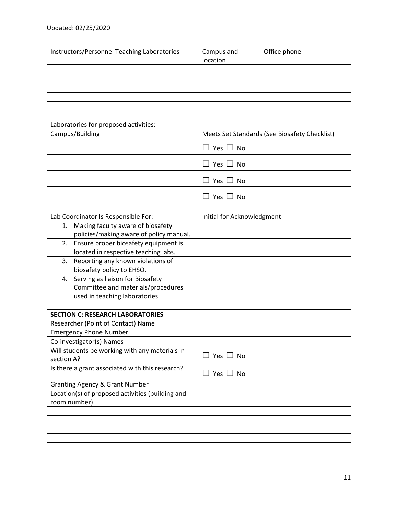| Instructors/Personnel Teaching Laboratories                                    | Campus and<br>location     | Office phone                                  |
|--------------------------------------------------------------------------------|----------------------------|-----------------------------------------------|
|                                                                                |                            |                                               |
|                                                                                |                            |                                               |
|                                                                                |                            |                                               |
|                                                                                |                            |                                               |
|                                                                                |                            |                                               |
| Laboratories for proposed activities:                                          |                            |                                               |
| Campus/Building                                                                |                            | Meets Set Standards (See Biosafety Checklist) |
|                                                                                | $\Box$ Yes $\Box$ No       |                                               |
|                                                                                | $\Box$ Yes $\Box$ No       |                                               |
|                                                                                | $\Box$ Yes $\Box$ No       |                                               |
|                                                                                | $\Box$ Yes $\Box$ No       |                                               |
|                                                                                |                            |                                               |
| Lab Coordinator Is Responsible For:<br>Making faculty aware of biosafety<br>1. | Initial for Acknowledgment |                                               |
| policies/making aware of policy manual.                                        |                            |                                               |
| Ensure proper biosafety equipment is<br>2.                                     |                            |                                               |
| located in respective teaching labs.                                           |                            |                                               |
| Reporting any known violations of<br>3.                                        |                            |                                               |
| biosafety policy to EHSO.                                                      |                            |                                               |
| Serving as liaison for Biosafety<br>4.                                         |                            |                                               |
| Committee and materials/procedures                                             |                            |                                               |
| used in teaching laboratories.                                                 |                            |                                               |
| <b>SECTION C: RESEARCH LABORATORIES</b>                                        |                            |                                               |
| Researcher (Point of Contact) Name                                             |                            |                                               |
| <b>Emergency Phone Number</b>                                                  |                            |                                               |
| Co-investigator(s) Names                                                       |                            |                                               |
| Will students be working with any materials in<br>section A?                   | $\Box$ Yes $\Box$ No       |                                               |
| Is there a grant associated with this research?                                | $\Box$ Yes $\Box$ No       |                                               |
| <b>Granting Agency &amp; Grant Number</b>                                      |                            |                                               |
| Location(s) of proposed activities (building and                               |                            |                                               |
| room number)                                                                   |                            |                                               |
|                                                                                |                            |                                               |
|                                                                                |                            |                                               |
|                                                                                |                            |                                               |
|                                                                                |                            |                                               |
|                                                                                |                            |                                               |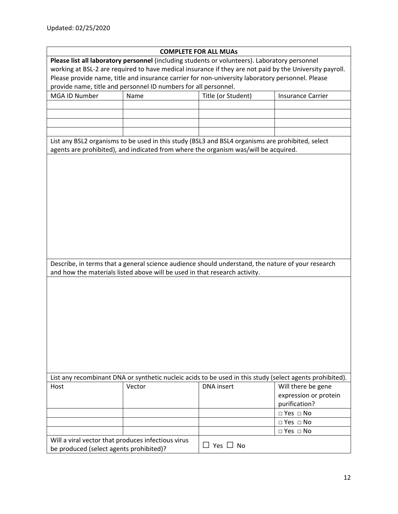| <b>COMPLETE FOR ALL MUAS</b>                                                                             |                                                                                                                                                                                 |                                                                                                         |                          |
|----------------------------------------------------------------------------------------------------------|---------------------------------------------------------------------------------------------------------------------------------------------------------------------------------|---------------------------------------------------------------------------------------------------------|--------------------------|
|                                                                                                          |                                                                                                                                                                                 | Please list all laboratory personnel (including students or volunteers). Laboratory personnel           |                          |
|                                                                                                          |                                                                                                                                                                                 | working at BSL-2 are required to have medical insurance if they are not paid by the University payroll. |                          |
|                                                                                                          |                                                                                                                                                                                 | Please provide name, title and insurance carrier for non-university laboratory personnel. Please        |                          |
|                                                                                                          | provide name, title and personnel ID numbers for all personnel.                                                                                                                 |                                                                                                         |                          |
| MGA ID Number                                                                                            | Name                                                                                                                                                                            | Title (or Student)                                                                                      | <b>Insurance Carrier</b> |
|                                                                                                          |                                                                                                                                                                                 |                                                                                                         |                          |
|                                                                                                          |                                                                                                                                                                                 |                                                                                                         |                          |
|                                                                                                          |                                                                                                                                                                                 |                                                                                                         |                          |
|                                                                                                          |                                                                                                                                                                                 |                                                                                                         |                          |
|                                                                                                          |                                                                                                                                                                                 | List any BSL2 organisms to be used in this study (BSL3 and BSL4 organisms are prohibited, select        |                          |
|                                                                                                          |                                                                                                                                                                                 | agents are prohibited), and indicated from where the organism was/will be acquired.                     |                          |
|                                                                                                          |                                                                                                                                                                                 |                                                                                                         |                          |
|                                                                                                          |                                                                                                                                                                                 |                                                                                                         |                          |
|                                                                                                          |                                                                                                                                                                                 |                                                                                                         |                          |
|                                                                                                          |                                                                                                                                                                                 |                                                                                                         |                          |
|                                                                                                          |                                                                                                                                                                                 |                                                                                                         |                          |
|                                                                                                          |                                                                                                                                                                                 |                                                                                                         |                          |
|                                                                                                          |                                                                                                                                                                                 |                                                                                                         |                          |
|                                                                                                          |                                                                                                                                                                                 |                                                                                                         |                          |
|                                                                                                          |                                                                                                                                                                                 |                                                                                                         |                          |
|                                                                                                          |                                                                                                                                                                                 |                                                                                                         |                          |
|                                                                                                          |                                                                                                                                                                                 |                                                                                                         |                          |
|                                                                                                          |                                                                                                                                                                                 |                                                                                                         |                          |
|                                                                                                          |                                                                                                                                                                                 |                                                                                                         |                          |
|                                                                                                          |                                                                                                                                                                                 |                                                                                                         |                          |
|                                                                                                          | Describe, in terms that a general science audience should understand, the nature of your research<br>and how the materials listed above will be used in that research activity. |                                                                                                         |                          |
|                                                                                                          |                                                                                                                                                                                 |                                                                                                         |                          |
|                                                                                                          |                                                                                                                                                                                 |                                                                                                         |                          |
|                                                                                                          |                                                                                                                                                                                 |                                                                                                         |                          |
|                                                                                                          |                                                                                                                                                                                 |                                                                                                         |                          |
|                                                                                                          |                                                                                                                                                                                 |                                                                                                         |                          |
|                                                                                                          |                                                                                                                                                                                 |                                                                                                         |                          |
|                                                                                                          |                                                                                                                                                                                 |                                                                                                         |                          |
|                                                                                                          |                                                                                                                                                                                 |                                                                                                         |                          |
|                                                                                                          |                                                                                                                                                                                 |                                                                                                         |                          |
|                                                                                                          |                                                                                                                                                                                 |                                                                                                         |                          |
|                                                                                                          |                                                                                                                                                                                 |                                                                                                         |                          |
|                                                                                                          |                                                                                                                                                                                 |                                                                                                         |                          |
|                                                                                                          |                                                                                                                                                                                 |                                                                                                         |                          |
| List any recombinant DNA or synthetic nucleic acids to be used in this study (select agents prohibited). |                                                                                                                                                                                 |                                                                                                         |                          |
| Host                                                                                                     | Vector                                                                                                                                                                          | <b>DNA</b> insert                                                                                       | Will there be gene       |
|                                                                                                          |                                                                                                                                                                                 |                                                                                                         | expression or protein    |
|                                                                                                          |                                                                                                                                                                                 |                                                                                                         | purification?            |
|                                                                                                          |                                                                                                                                                                                 |                                                                                                         | $\Box$ Yes $\Box$ No     |
|                                                                                                          |                                                                                                                                                                                 |                                                                                                         | $\Box$ Yes $\Box$ No     |
|                                                                                                          |                                                                                                                                                                                 |                                                                                                         |                          |
|                                                                                                          |                                                                                                                                                                                 |                                                                                                         |                          |
|                                                                                                          |                                                                                                                                                                                 |                                                                                                         | $\Box$ Yes $\Box$ No     |
| Will a viral vector that produces infectious virus<br>be produced (select agents prohibited)?            |                                                                                                                                                                                 | $\Box$ Yes $\Box$ No                                                                                    |                          |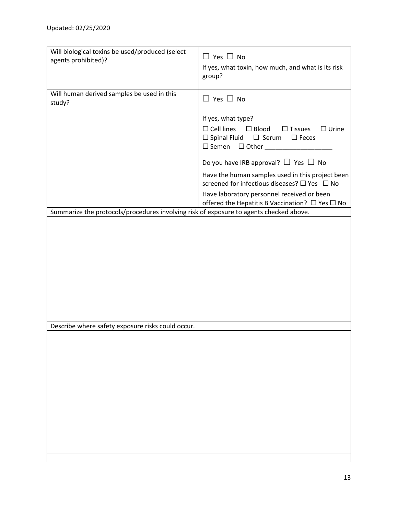| Will biological toxins be used/produced (select                                        | $\Box$ Yes $\Box$ No                                                     |
|----------------------------------------------------------------------------------------|--------------------------------------------------------------------------|
| agents prohibited)?                                                                    | If yes, what toxin, how much, and what is its risk                       |
|                                                                                        | group?                                                                   |
| Will human derived samples be used in this                                             |                                                                          |
| study?                                                                                 | $\Box$ Yes $\Box$ No                                                     |
|                                                                                        |                                                                          |
|                                                                                        | If yes, what type?<br>$\Box$ Cell lines $\Box$ Blood<br>$\Box$ Urine     |
|                                                                                        | $\square$ Tissues<br>$\Box$ Spinal Fluid $\Box$ Serum<br>$\square$ Feces |
|                                                                                        | $\Box$ Semen $\Box$ Other                                                |
|                                                                                        | Do you have IRB approval? $\Box$ Yes $\Box$ No                           |
|                                                                                        | Have the human samples used in this project been                         |
|                                                                                        | screened for infectious diseases? □ Yes □ No                             |
|                                                                                        | Have laboratory personnel received or been                               |
|                                                                                        | offered the Hepatitis B Vaccination? $\Box$ Yes $\Box$ No                |
| Summarize the protocols/procedures involving risk of exposure to agents checked above. |                                                                          |
|                                                                                        |                                                                          |
|                                                                                        |                                                                          |
|                                                                                        |                                                                          |
|                                                                                        |                                                                          |
|                                                                                        |                                                                          |
|                                                                                        |                                                                          |
|                                                                                        |                                                                          |
|                                                                                        |                                                                          |
|                                                                                        |                                                                          |
| Describe where safety exposure risks could occur.                                      |                                                                          |
|                                                                                        |                                                                          |
|                                                                                        |                                                                          |
|                                                                                        |                                                                          |
|                                                                                        |                                                                          |
|                                                                                        |                                                                          |
|                                                                                        |                                                                          |
|                                                                                        |                                                                          |
|                                                                                        |                                                                          |
|                                                                                        |                                                                          |
|                                                                                        |                                                                          |
|                                                                                        |                                                                          |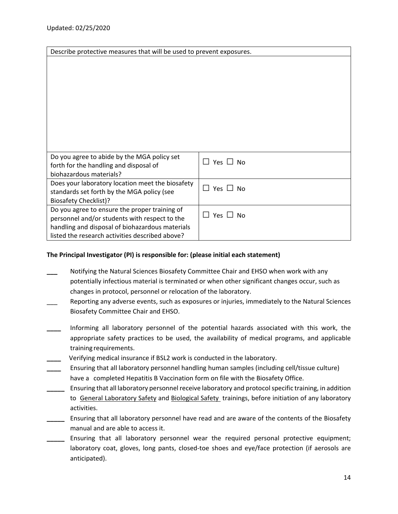| Describe protective measures that will be used to prevent exposures.                                                                                                                                 |                                         |
|------------------------------------------------------------------------------------------------------------------------------------------------------------------------------------------------------|-----------------------------------------|
|                                                                                                                                                                                                      |                                         |
| Do you agree to abide by the MGA policy set<br>forth for the handling and disposal of<br>biohazardous materials?                                                                                     | Yes $\Box$ No<br>$\mathbf{1}$           |
| Does your laboratory location meet the biosafety<br>standards set forth by the MGA policy (see<br><b>Biosafety Checklist)?</b>                                                                       | Yes $\Box$<br>$\mathsf{L}$<br><b>No</b> |
| Do you agree to ensure the proper training of<br>personnel and/or students with respect to the<br>handling and disposal of biohazardous materials<br>listed the research activities described above? | $\Box$ Yes $\Box$ No                    |

## **The Principal Investigator (PI) is responsible for: (please initial each statement)**

- **\_\_\_** Notifying the Natural Sciences Biosafety Committee Chair and EHSO when work with any potentially infectious material is terminated or when other significant changes occur, such as changes in protocol, personnel or relocation of the laboratory.
- Reporting any adverse events, such as exposures or injuries, immediately to the Natural Sciences Biosafety Committee Chair and EHSO.
- **\_\_\_\_**  Informing all laboratory personnel of the potential hazards associated with this work, the appropriate safety practices to be used, the availability of medical programs, and applicable training requirements.
- **\_\_\_\_** Verifying medical insurance if BSL2 work is conducted in the laboratory.
- **\_\_\_\_**  Ensuring that all laboratory personnel handling human samples (including cell/tissue culture) have a completed Hepatitis B Vaccination form on file with the Biosafety Office.
- **\_\_\_\_\_** Ensuring that all laboratory personnel receive laboratory and protocol specific training, in addition to General Laboratory Safety and Biological Safety trainings, before initiation of any laboratory activities.
- **\_\_\_\_\_** Ensuring that all laboratory personnel have read and are aware of the contents of the Biosafety manual and are able to access it.
- Ensuring that all laboratory personnel wear the required personal protective equipment; laboratory coat, gloves, long pants, closed-toe shoes and eye/face protection (if aerosols are anticipated).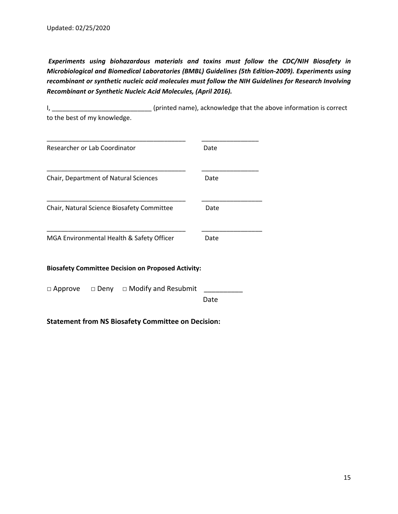*Experiments using biohazardous materials and toxins must follow the CDC/NIH Biosafety in Microbiological and Biomedical Laboratories (BMBL) Guidelines (5th Edition‐2009). Experiments using recombinant or synthetic nucleic acid molecules must follow the NIH Guidelines for Research Involving Recombinant or Synthetic Nucleic Acid Molecules, (April 2016).* 

I, \_\_\_\_\_\_\_\_\_\_\_\_\_\_\_\_\_\_\_\_\_\_\_\_\_\_\_\_\_\_\_\_ (printed name), acknowledge that the above information is correct to the best of my knowledge.

| Researcher or Lab Coordinator |                                                           | Date |
|-------------------------------|-----------------------------------------------------------|------|
|                               | Chair, Department of Natural Sciences                     | Date |
|                               | Chair, Natural Science Biosafety Committee                | Date |
|                               | MGA Environmental Health & Safety Officer                 | Date |
|                               | <b>Biosafety Committee Decision on Proposed Activity:</b> |      |
| $\Box$ Approve                | $\Box$ Deny $\Box$ Modify and Resubmit                    | Date |

**Statement from NS Biosafety Committee on Decision:**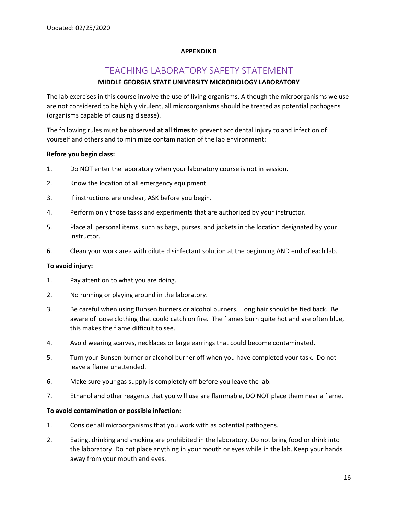#### **APPENDIX B**

# TEACHING LABORATORY SAFETY STATEMENT

## **MIDDLE GEORGIA STATE UNIVERSITY MICROBIOLOGY LABORATORY**

The lab exercises in this course involve the use of living organisms. Although the microorganisms we use are not considered to be highly virulent, all microorganisms should be treated as potential pathogens (organisms capable of causing disease).

The following rules must be observed **at all times** to prevent accidental injury to and infection of yourself and others and to minimize contamination of the lab environment:

#### **Before you begin class:**

- 1. Do NOT enter the laboratory when your laboratory course is not in session.
- 2. Know the location of all emergency equipment.
- 3. If instructions are unclear, ASK before you begin.
- 4. Perform only those tasks and experiments that are authorized by your instructor.
- 5. Place all personal items, such as bags, purses, and jackets in the location designated by your instructor.
- 6. Clean your work area with dilute disinfectant solution at the beginning AND end of each lab.

#### **To avoid injury:**

- 1. Pay attention to what you are doing.
- 2. No running or playing around in the laboratory.
- 3. Be careful when using Bunsen burners or alcohol burners. Long hair should be tied back. Be aware of loose clothing that could catch on fire. The flames burn quite hot and are often blue, this makes the flame difficult to see.
- 4. Avoid wearing scarves, necklaces or large earrings that could become contaminated.
- 5. Turn your Bunsen burner or alcohol burner off when you have completed your task. Do not leave a flame unattended.
- 6. Make sure your gas supply is completely off before you leave the lab.
- 7. Ethanol and other reagents that you will use are flammable, DO NOT place them near a flame.

#### **To avoid contamination or possible infection:**

- 1. Consider all microorganisms that you work with as potential pathogens.
- 2. Eating, drinking and smoking are prohibited in the laboratory. Do not bring food or drink into the laboratory. Do not place anything in your mouth or eyes while in the lab. Keep your hands away from your mouth and eyes.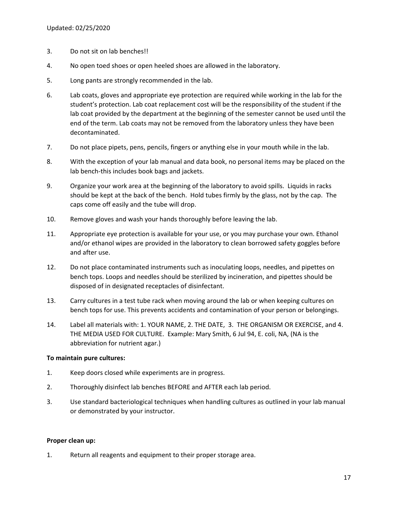- 3. Do not sit on lab benches!!
- 4. No open toed shoes or open heeled shoes are allowed in the laboratory.
- 5. Long pants are strongly recommended in the lab.
- 6. Lab coats, gloves and appropriate eye protection are required while working in the lab for the student's protection. Lab coat replacement cost will be the responsibility of the student if the lab coat provided by the department at the beginning of the semester cannot be used until the end of the term. Lab coats may not be removed from the laboratory unless they have been decontaminated.
- 7. Do not place pipets, pens, pencils, fingers or anything else in your mouth while in the lab.
- 8. With the exception of your lab manual and data book, no personal items may be placed on the lab bench-this includes book bags and jackets.
- 9. Organize your work area at the beginning of the laboratory to avoid spills. Liquids in racks should be kept at the back of the bench. Hold tubes firmly by the glass, not by the cap. The caps come off easily and the tube will drop.
- 10. Remove gloves and wash your hands thoroughly before leaving the lab.
- 11. Appropriate eye protection is available for your use, or you may purchase your own. Ethanol and/or ethanol wipes are provided in the laboratory to clean borrowed safety goggles before and after use.
- 12. Do not place contaminated instruments such as inoculating loops, needles, and pipettes on bench tops. Loops and needles should be sterilized by incineration, and pipettes should be disposed of in designated receptacles of disinfectant.
- 13. Carry cultures in a test tube rack when moving around the lab or when keeping cultures on bench tops for use. This prevents accidents and contamination of your person or belongings.
- 14. Label all materials with: 1. YOUR NAME, 2. THE DATE, 3. THE ORGANISM OR EXERCISE, and 4. THE MEDIA USED FOR CULTURE. Example: Mary Smith, 6 Jul 94, E. coli, NA, (NA is the abbreviation for nutrient agar.)

#### **To maintain pure cultures:**

- 1. Keep doors closed while experiments are in progress.
- 2. Thoroughly disinfect lab benches BEFORE and AFTER each lab period.
- 3. Use standard bacteriological techniques when handling cultures as outlined in your lab manual or demonstrated by your instructor.

#### **Proper clean up:**

1. Return all reagents and equipment to their proper storage area.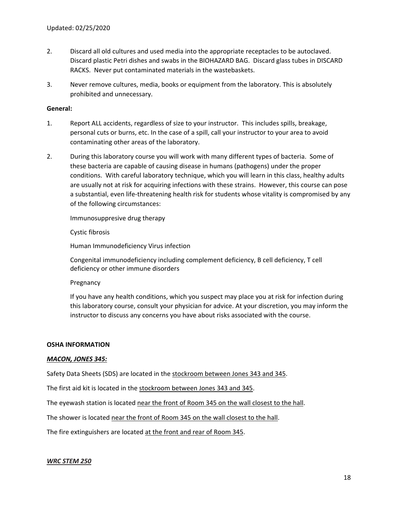- 2. Discard all old cultures and used media into the appropriate receptacles to be autoclaved. Discard plastic Petri dishes and swabs in the BIOHAZARD BAG. Discard glass tubes in DISCARD RACKS. Never put contaminated materials in the wastebaskets.
- 3. Never remove cultures, media, books or equipment from the laboratory. This is absolutely prohibited and unnecessary.

#### **General:**

- 1. Report ALL accidents, regardless of size to your instructor. This includes spills, breakage, personal cuts or burns, etc. In the case of a spill, call your instructor to your area to avoid contaminating other areas of the laboratory.
- 2. During this laboratory course you will work with many different types of bacteria. Some of these bacteria are capable of causing disease in humans (pathogens) under the proper conditions. With careful laboratory technique, which you will learn in this class, healthy adults are usually not at risk for acquiring infections with these strains. However, this course can pose a substantial, even life‐threatening health risk for students whose vitality is compromised by any of the following circumstances:

Immunosuppresive drug therapy

#### Cystic fibrosis

Human Immunodeficiency Virus infection

Congenital immunodeficiency including complement deficiency, B cell deficiency, T cell deficiency or other immune disorders

Pregnancy

If you have any health conditions, which you suspect may place you at risk for infection during this laboratory course, consult your physician for advice. At your discretion, you may inform the instructor to discuss any concerns you have about risks associated with the course.

#### **OSHA INFORMATION**

#### *MACON, JONES 345:*

Safety Data Sheets (SDS) are located in the stockroom between Jones 343 and 345.

The first aid kit is located in the stockroom between Jones 343 and 345.

The eyewash station is located near the front of Room 345 on the wall closest to the hall.

The shower is located near the front of Room 345 on the wall closest to the hall.

The fire extinguishers are located at the front and rear of Room 345.

#### *WRC STEM 250*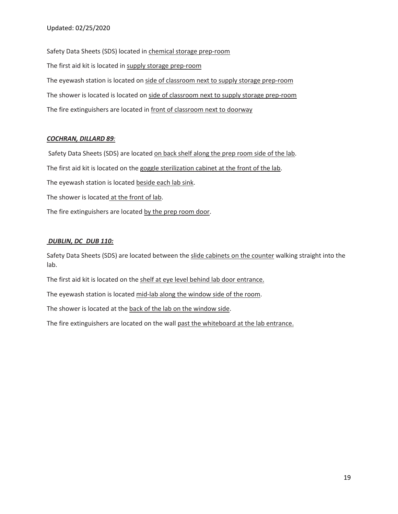Safety Data Sheets (SDS) located in chemical storage prep-room The first aid kit is located in supply storage prep‐room The eyewash station is located on side of classroom next to supply storage prep-room The shower is located is located on side of classroom next to supply storage prep-room The fire extinguishers are located in front of classroom next to doorway

## *COCHRAN, DILLARD 89:*

 Safety Data Sheets (SDS) are located on back shelf along the prep room side of the lab. The first aid kit is located on the goggle sterilization cabinet at the front of the lab. The eyewash station is located beside each lab sink. The shower is located at the front of lab. The fire extinguishers are located by the prep room door.

## *DUBLIN, DC\_DUB 110:*

Safety Data Sheets (SDS) are located between the slide cabinets on the counter walking straight into the lab.

The first aid kit is located on the shelf at eye level behind lab door entrance.

The eyewash station is located mid-lab along the window side of the room.

The shower is located at the back of the lab on the window side.

The fire extinguishers are located on the wall past the whiteboard at the lab entrance.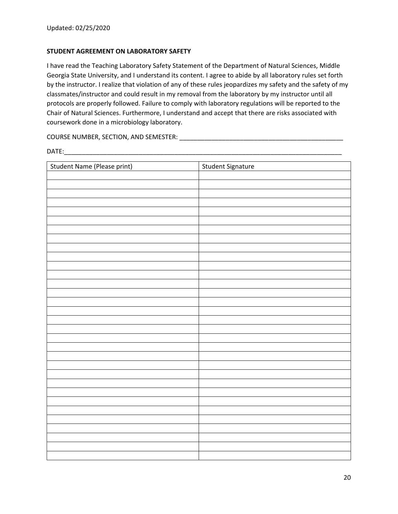#### **STUDENT AGREEMENT ON LABORATORY SAFETY**

I have read the Teaching Laboratory Safety Statement of the Department of Natural Sciences, Middle Georgia State University, and I understand its content. I agree to abide by all laboratory rules set forth by the instructor. I realize that violation of any of these rules jeopardizes my safety and the safety of my classmates/instructor and could result in my removal from the laboratory by my instructor until all protocols are properly followed. Failure to comply with laboratory regulations will be reported to the Chair of Natural Sciences. Furthermore, I understand and accept that there are risks associated with coursework done in a microbiology laboratory.

COURSE NUMBER, SECTION, AND SEMESTER: \_\_\_\_\_\_\_\_\_\_\_\_\_\_\_\_\_\_\_\_\_\_\_\_\_\_\_\_\_\_\_\_\_\_\_\_\_\_\_\_\_\_\_\_\_\_

DATE:\_\_\_\_\_\_\_\_\_\_\_\_\_\_\_\_\_\_\_\_\_\_\_\_\_\_\_\_\_\_\_\_\_\_\_\_\_\_\_\_\_\_\_\_\_\_\_\_\_\_\_\_\_\_\_\_\_\_\_\_\_\_\_\_\_\_\_\_\_\_\_\_\_\_\_\_\_\_

| Student Name (Please print) | Student Signature |
|-----------------------------|-------------------|
|                             |                   |
|                             |                   |
|                             |                   |
|                             |                   |
|                             |                   |
|                             |                   |
|                             |                   |
|                             |                   |
|                             |                   |
|                             |                   |
|                             |                   |
|                             |                   |
|                             |                   |
|                             |                   |
|                             |                   |
|                             |                   |
|                             |                   |
|                             |                   |
|                             |                   |
|                             |                   |
|                             |                   |
|                             |                   |
|                             |                   |
|                             |                   |
|                             |                   |
|                             |                   |
|                             |                   |
|                             |                   |
|                             |                   |
|                             |                   |
|                             |                   |
|                             |                   |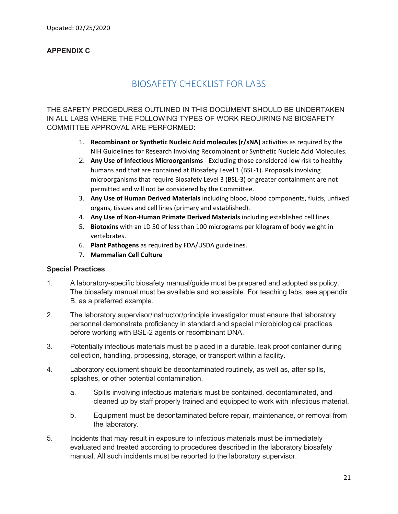# **APPENDIX C**

# BIOSAFETY CHECKLIST FOR LABS

THE SAFETY PROCEDURES OUTLINED IN THIS DOCUMENT SHOULD BE UNDERTAKEN IN ALL LABS WHERE THE FOLLOWING TYPES OF WORK REQUIRING NS BIOSAFETY COMMITTEE APPROVAL ARE PERFORMED:

- 1. **Recombinant or Synthetic Nucleic Acid molecules (r/sNA)** activities as required by the NIH Guidelines for Research Involving Recombinant or Synthetic Nucleic Acid Molecules.
- 2. **Any Use of Infectious Microorganisms** ‐ Excluding those considered low risk to healthy humans and that are contained at Biosafety Level 1 (BSL-1). Proposals involving microorganisms that require Biosafety Level 3 (BSL‐3) or greater containment are not permitted and will not be considered by the Committee.
- 3. **Any Use of Human Derived Materials** including blood, blood components, fluids, unfixed organs, tissues and cell lines (primary and established).
- 4. **Any Use of Non‐Human Primate Derived Materials** including established cell lines.
- 5. **Biotoxins** with an LD 50 of less than 100 micrograms per kilogram of body weight in vertebrates.
- 6. **Plant Pathogens** as required by FDA/USDA guidelines.
- 7. **Mammalian Cell Culture**

# **Special Practices**

- 1. A laboratory-specific biosafety manual/guide must be prepared and adopted as policy. The biosafety manual must be available and accessible. For teaching labs, see appendix B, as a preferred example.
- 2. The laboratory supervisor/instructor/principle investigator must ensure that laboratory personnel demonstrate proficiency in standard and special microbiological practices before working with BSL-2 agents or recombinant DNA.
- 3. Potentially infectious materials must be placed in a durable, leak proof container during collection, handling, processing, storage, or transport within a facility.
- 4. Laboratory equipment should be decontaminated routinely, as well as, after spills, splashes, or other potential contamination.
	- a. Spills involving infectious materials must be contained, decontaminated, and cleaned up by staff properly trained and equipped to work with infectious material.
	- b. Equipment must be decontaminated before repair, maintenance, or removal from the laboratory.
- 5. Incidents that may result in exposure to infectious materials must be immediately evaluated and treated according to procedures described in the laboratory biosafety manual. All such incidents must be reported to the laboratory supervisor.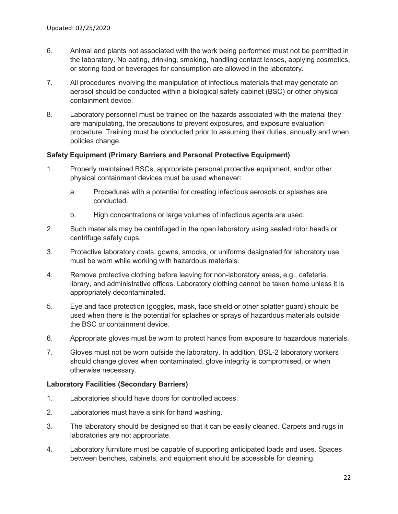- 6. Animal and plants not associated with the work being performed must not be permitted in the laboratory. No eating, drinking, smoking, handling contact lenses, applying cosmetics, or storing food or beverages for consumption are allowed in the laboratory.
- 7. All procedures involving the manipulation of infectious materials that may generate an aerosol should be conducted within a biological safety cabinet (BSC) or other physical containment device.
- 8. Laboratory personnel must be trained on the hazards associated with the material they are manipulating, the precautions to prevent exposures, and exposure evaluation procedure. Training must be conducted prior to assuming their duties, annually and when policies change.

## **Safety Equipment (Primary Barriers and Personal Protective Equipment)**

- 1. Properly maintained BSCs, appropriate personal protective equipment, and/or other physical containment devices must be used whenever:
	- a. Procedures with a potential for creating infectious aerosols or splashes are conducted.
	- b. High concentrations or large volumes of infectious agents are used.
- 2. Such materials may be centrifuged in the open laboratory using sealed rotor heads or centrifuge safety cups.
- 3. Protective laboratory coats, gowns, smocks, or uniforms designated for laboratory use must be worn while working with hazardous materials.
- 4. Remove protective clothing before leaving for non-laboratory areas, e.g., cafeteria, library, and administrative offices. Laboratory clothing cannot be taken home unless it is appropriately decontaminated.
- 5. Eye and face protection (goggles, mask, face shield or other splatter guard) should be used when there is the potential for splashes or sprays of hazardous materials outside the BSC or containment device.
- 6. Appropriate gloves must be worn to protect hands from exposure to hazardous materials.
- 7. Gloves must not be worn outside the laboratory. In addition, BSL-2 laboratory workers should change gloves when contaminated, glove integrity is compromised, or when otherwise necessary.

# **Laboratory Facilities (Secondary Barriers)**

- 1. Laboratories should have doors for controlled access.
- 2. Laboratories must have a sink for hand washing.
- 3. The laboratory should be designed so that it can be easily cleaned. Carpets and rugs in laboratories are not appropriate.
- 4. Laboratory furniture must be capable of supporting anticipated loads and uses. Spaces between benches, cabinets, and equipment should be accessible for cleaning.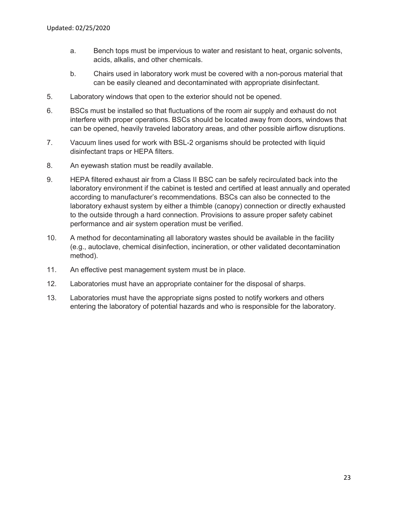- a. Bench tops must be impervious to water and resistant to heat, organic solvents, acids, alkalis, and other chemicals.
- b. Chairs used in laboratory work must be covered with a non-porous material that can be easily cleaned and decontaminated with appropriate disinfectant.
- 5. Laboratory windows that open to the exterior should not be opened.
- 6. BSCs must be installed so that fluctuations of the room air supply and exhaust do not interfere with proper operations. BSCs should be located away from doors, windows that can be opened, heavily traveled laboratory areas, and other possible airflow disruptions.
- 7. Vacuum lines used for work with BSL-2 organisms should be protected with liquid disinfectant traps or HEPA filters.
- 8. An eyewash station must be readily available.
- 9. HEPA filtered exhaust air from a Class II BSC can be safely recirculated back into the laboratory environment if the cabinet is tested and certified at least annually and operated according to manufacturer's recommendations. BSCs can also be connected to the laboratory exhaust system by either a thimble (canopy) connection or directly exhausted to the outside through a hard connection. Provisions to assure proper safety cabinet performance and air system operation must be verified.
- 10. A method for decontaminating all laboratory wastes should be available in the facility (e.g., autoclave, chemical disinfection, incineration, or other validated decontamination method).
- 11. An effective pest management system must be in place.
- 12. Laboratories must have an appropriate container for the disposal of sharps.
- 13. Laboratories must have the appropriate signs posted to notify workers and others entering the laboratory of potential hazards and who is responsible for the laboratory.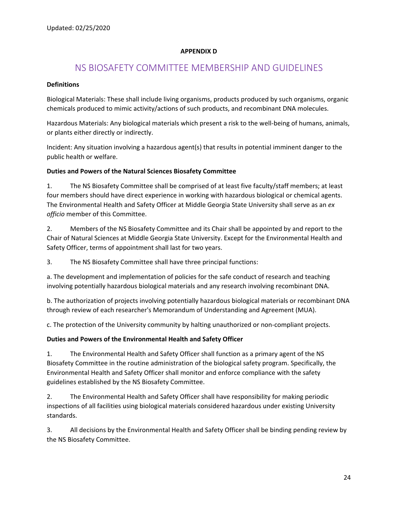## **APPENDIX D**

# NS BIOSAFETY COMMITTEE MEMBERSHIP AND GUIDELINES

## **Definitions**

Biological Materials: These shall include living organisms, products produced by such organisms, organic chemicals produced to mimic activity/actions of such products, and recombinant DNA molecules.

Hazardous Materials: Any biological materials which present a risk to the well‐being of humans, animals, or plants either directly or indirectly.

Incident: Any situation involving a hazardous agent(s) that results in potential imminent danger to the public health or welfare.

## **Duties and Powers of the Natural Sciences Biosafety Committee**

1. The NS Biosafety Committee shall be comprised of at least five faculty/staff members; at least four members should have direct experience in working with hazardous biological or chemical agents. The Environmental Health and Safety Officer at Middle Georgia State University shall serve as an *ex officio* member of this Committee.

2. Members of the NS Biosafety Committee and its Chair shall be appointed by and report to the Chair of Natural Sciences at Middle Georgia State University. Except for the Environmental Health and Safety Officer, terms of appointment shall last for two years.

3. The NS Biosafety Committee shall have three principal functions:

a. The development and implementation of policies for the safe conduct of research and teaching involving potentially hazardous biological materials and any research involving recombinant DNA.

b. The authorization of projects involving potentially hazardous biological materials or recombinant DNA through review of each researcher's Memorandum of Understanding and Agreement (MUA).

c. The protection of the University community by halting unauthorized or non‐compliant projects.

# **Duties and Powers of the Environmental Health and Safety Officer**

1. The Environmental Health and Safety Officer shall function as a primary agent of the NS Biosafety Committee in the routine administration of the biological safety program. Specifically, the Environmental Health and Safety Officer shall monitor and enforce compliance with the safety guidelines established by the NS Biosafety Committee.

2. The Environmental Health and Safety Officer shall have responsibility for making periodic inspections of all facilities using biological materials considered hazardous under existing University standards.

3. All decisions by the Environmental Health and Safety Officer shall be binding pending review by the NS Biosafety Committee.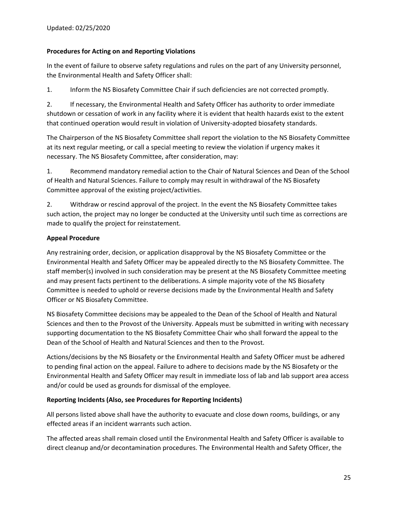## **Procedures for Acting on and Reporting Violations**

In the event of failure to observe safety regulations and rules on the part of any University personnel, the Environmental Health and Safety Officer shall:

1. Inform the NS Biosafety Committee Chair if such deficiencies are not corrected promptly.

2. If necessary, the Environmental Health and Safety Officer has authority to order immediate shutdown or cessation of work in any facility where it is evident that health hazards exist to the extent that continued operation would result in violation of University‐adopted biosafety standards.

The Chairperson of the NS Biosafety Committee shall report the violation to the NS Biosafety Committee at its next regular meeting, or call a special meeting to review the violation if urgency makes it necessary. The NS Biosafety Committee, after consideration, may:

1. Recommend mandatory remedial action to the Chair of Natural Sciences and Dean of the School of Health and Natural Sciences. Failure to comply may result in withdrawal of the NS Biosafety Committee approval of the existing project/activities.

2. Withdraw or rescind approval of the project. In the event the NS Biosafety Committee takes such action, the project may no longer be conducted at the University until such time as corrections are made to qualify the project for reinstatement.

## **Appeal Procedure**

Any restraining order, decision, or application disapproval by the NS Biosafety Committee or the Environmental Health and Safety Officer may be appealed directly to the NS Biosafety Committee. The staff member(s) involved in such consideration may be present at the NS Biosafety Committee meeting and may present facts pertinent to the deliberations. A simple majority vote of the NS Biosafety Committee is needed to uphold or reverse decisions made by the Environmental Health and Safety Officer or NS Biosafety Committee.

NS Biosafety Committee decisions may be appealed to the Dean of the School of Health and Natural Sciences and then to the Provost of the University. Appeals must be submitted in writing with necessary supporting documentation to the NS Biosafety Committee Chair who shall forward the appeal to the Dean of the School of Health and Natural Sciences and then to the Provost.

Actions/decisions by the NS Biosafety or the Environmental Health and Safety Officer must be adhered to pending final action on the appeal. Failure to adhere to decisions made by the NS Biosafety or the Environmental Health and Safety Officer may result in immediate loss of lab and lab support area access and/or could be used as grounds for dismissal of the employee.

# **Reporting Incidents (Also, see Procedures for Reporting Incidents)**

All persons listed above shall have the authority to evacuate and close down rooms, buildings, or any effected areas if an incident warrants such action.

The affected areas shall remain closed until the Environmental Health and Safety Officer is available to direct cleanup and/or decontamination procedures. The Environmental Health and Safety Officer, the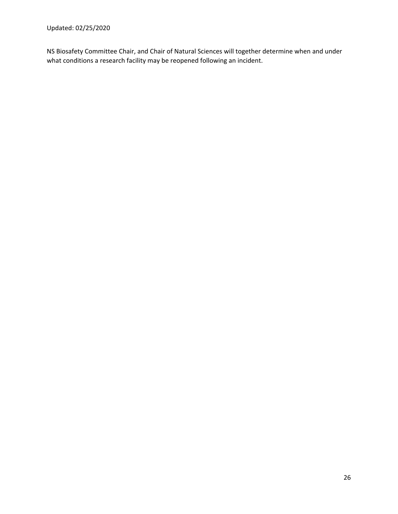NS Biosafety Committee Chair, and Chair of Natural Sciences will together determine when and under what conditions a research facility may be reopened following an incident.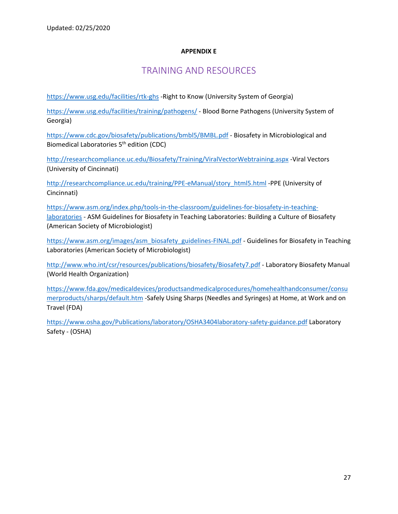## **APPENDIX E**

# TRAINING AND RESOURCES

https://www.usg.edu/facilities/rtk-ghs -Right to Know (University System of Georgia)

https://www.usg.edu/facilities/training/pathogens/ ‐ Blood Borne Pathogens (University System of Georgia)

https://www.cdc.gov/biosafety/publications/bmbl5/BMBL.pdf ‐ Biosafety in Microbiological and Biomedical Laboratories 5<sup>th</sup> edition (CDC)

http://researchcompliance.uc.edu/Biosafety/Training/ViralVectorWebtraining.aspx ‐Viral Vectors (University of Cincinnati)

http://researchcompliance.uc.edu/training/PPE-eManual/story\_html5.html -PPE (University of Cincinnati)

https://www.asm.org/index.php/tools-in-the-classroom/guidelines-for-biosafety-in-teachinglaboratories - ASM Guidelines for Biosafety in Teaching Laboratories: Building a Culture of Biosafety (American Society of Microbiologist)

https://www.asm.org/images/asm\_biosafety\_guidelines-FINAL.pdf - Guidelines for Biosafety in Teaching Laboratories (American Society of Microbiologist)

http://www.who.int/csr/resources/publications/biosafety/Biosafety7.pdf ‐ Laboratory Biosafety Manual (World Health Organization)

https://www.fda.gov/medicaldevices/productsandmedicalprocedures/homehealthandconsumer/consu merproducts/sharps/default.htm ‐Safely Using Sharps (Needles and Syringes) at Home, at Work and on Travel (FDA)

https://www.osha.gov/Publications/laboratory/OSHA3404laboratory‐safety‐guidance.pdf Laboratory Safety ‐ (OSHA)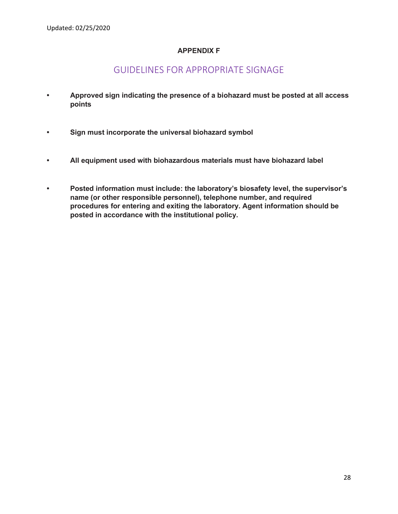# **APPENDIX F**

# GUIDELINES FOR APPROPRIATE SIGNAGE

- **Approved sign indicating the presence of a biohazard must be posted at all access points**
- **Sign must incorporate the universal biohazard symbol**
- **All equipment used with biohazardous materials must have biohazard label**
- **Posted information must include: the laboratory's biosafety level, the supervisor's name (or other responsible personnel), telephone number, and required procedures for entering and exiting the laboratory. Agent information should be posted in accordance with the institutional policy.**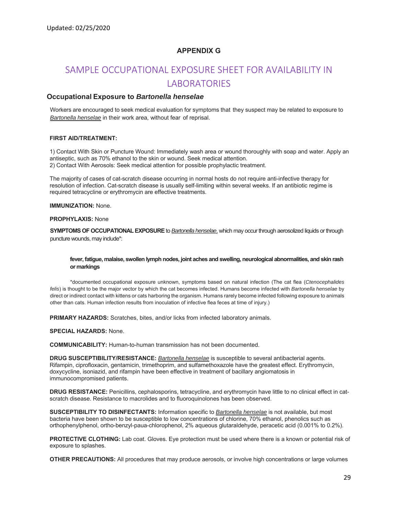## **APPENDIX G**

# SAMPLE OCCUPATIONAL EXPOSURE SHEET FOR AVAILABILITY IN **LABORATORIES**

#### **Occupational Exposure to** *Bartonella henselae*

Workers are encouraged to seek medical evaluation for symptoms that they suspect may be related to exposure to *Bartonella henselae* in their work area, without fear of reprisal.

#### **FIRST AID/TREATMENT:**

1) Contact With Skin or Puncture Wound: Immediately wash area or wound thoroughly with soap and water. Apply an antiseptic, such as 70% ethanol to the skin or wound. Seek medical attention. 2) Contact With Aerosols: Seek medical attention for possible prophylactic treatment.

The majority of cases of cat-scratch disease occurring in normal hosts do not require anti-infective therapy for resolution of infection. Cat-scratch disease is usually self-limiting within several weeks. If an antibiotic regime is required tetracycline or erythromycin are effective treatments.

**IMMUNIZATION:** None.

**PROPHYLAXIS:** None

**SYMPTOMS OF OCCUPATIONAL EXPOSURE** to *Bartonella henselae*, which may occur through aerosolized liquids or through puncture wounds, may include\*:

#### **fever, fatigue, malaise, swollen lymph nodes, joint aches and swelling, neurological abnormalities, and skin rash or markings**

 \*documented occupational exposure unknown, symptoms based on natural infection (The cat flea (*Ctenocephalides felis*) is thought to be the major vector by which the cat becomes infected. Humans become infected with *Bartonella henselae* by direct or indirect contact with kittens or cats harboring the organism. Humans rarely become infected following exposure to animals other than cats. Human infection results from inoculation of infective flea feces at time of injury.)

**PRIMARY HAZARDS:** Scratches, bites, and/or licks from infected laboratory animals.

**SPECIAL HAZARDS:** None.

**COMMUNICABILITY:** Human-to-human transmission has not been documented.

**DRUG SUSCEPTIBILITY/RESISTANCE:** *Bartonella henselae* is susceptible to several antibacterial agents. Rifampin, ciprofloxacin, gentamicin, trimethoprim, and sulfamethoxazole have the greatest effect. Erythromycin, doxycycline, isoniazid, and rifampin have been effective in treatment of bacillary angiomatosis in immunocompromised patients.

**DRUG RESISTANCE:** Penicillins, cephalosporins, tetracycline, and erythromycin have little to no clinical effect in catscratch disease. Resistance to macrolides and to fluoroquinolones has been observed.

**SUSCEPTIBILITY TO DISINFECTANTS:** Information specific to *Bartonella henselae* is not available, but most bacteria have been shown to be susceptible to low concentrations of chlorine, 70% ethanol, phenolics such as orthophenylphenol, ortho-benzyl-paua-chlorophenol, 2% aqueous glutaraldehyde, peracetic acid (0.001% to 0.2%).

**PROTECTIVE CLOTHING:** Lab coat. Gloves. Eye protection must be used where there is a known or potential risk of exposure to splashes.

**OTHER PRECAUTIONS:** All procedures that may produce aerosols, or involve high concentrations or large volumes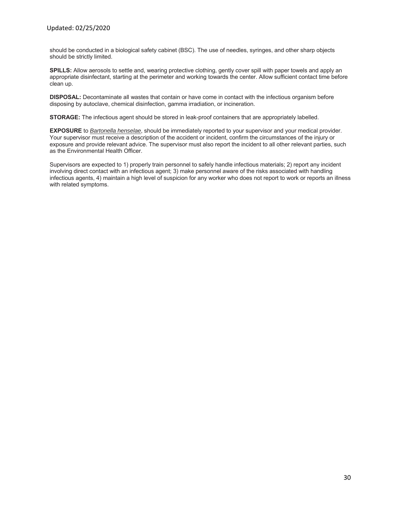should be conducted in a biological safety cabinet (BSC). The use of needles, syringes, and other sharp objects should be strictly limited.

**SPILLS:** Allow aerosols to settle and, wearing protective clothing, gently cover spill with paper towels and apply an appropriate disinfectant, starting at the perimeter and working towards the center. Allow sufficient contact time before clean up.

**DISPOSAL:** Decontaminate all wastes that contain or have come in contact with the infectious organism before disposing by autoclave, chemical disinfection, gamma irradiation, or incineration.

**STORAGE:** The infectious agent should be stored in leak-proof containers that are appropriately labelled.

**EXPOSURE** to *Bartonella henselae*, should be immediately reported to your supervisor and your medical provider. Your supervisor must receive a description of the accident or incident, confirm the circumstances of the injury or exposure and provide relevant advice. The supervisor must also report the incident to all other relevant parties, such as the Environmental Health Officer.

Supervisors are expected to 1) properly train personnel to safely handle infectious materials; 2) report any incident involving direct contact with an infectious agent; 3) make personnel aware of the risks associated with handling infectious agents, 4) maintain a high level of suspicion for any worker who does not report to work or reports an illness with related symptoms.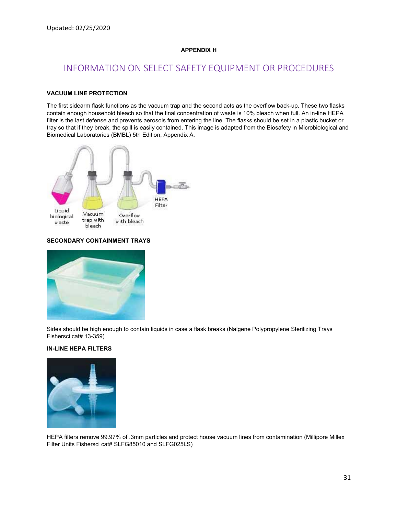#### **APPENDIX H**

# INFORMATION ON SELECT SAFETY EQUIPMENT OR PROCEDURES

#### **VACUUM LINE PROTECTION**

The first sidearm flask functions as the vacuum trap and the second acts as the overflow back-up. These two flasks contain enough household bleach so that the final concentration of waste is 10% bleach when full. An in-line HEPA filter is the last defense and prevents aerosols from entering the line. The flasks should be set in a plastic bucket or tray so that if they break, the spill is easily contained. This image is adapted from the Biosafety in Microbiological and Biomedical Laboratories (BMBL) 5th Edition, Appendix A.



#### **SECONDARY CONTAINMENT TRAYS**



Sides should be high enough to contain liquids in case a flask breaks (Nalgene Polypropylene Sterilizing Trays Fishersci cat# 13-359)

#### **IN-LINE HEPA FILTERS**



HEPA filters remove 99.97% of .3mm particles and protect house vacuum lines from contamination (Millipore Millex Filter Units Fishersci cat# SLFG85010 and SLFG025LS)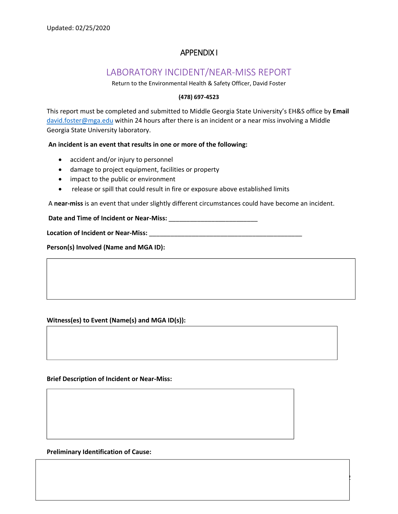# APPENDIX I

# LABORATORY INCIDENT/NEAR‐MISS REPORT

Return to the Environmental Health & Safety Officer, David Foster

#### **(478) 697‐4523**

This report must be completed and submitted to Middle Georgia State University's EH&S office by **Email**  david.foster@mga.edu within 24 hours after there is an incident or a near miss involving a Middle Georgia State University laboratory.

#### **An incident is an event that results in one or more of the following:**

- accident and/or injury to personnel
- damage to project equipment, facilities or property
- impact to the public or environment
- release or spill that could result in fire or exposure above established limits

A **near‐miss** is an event that under slightly different circumstances could have become an incident.

32

Date and Time of Incident or Near-Miss: **We are all the set of the set of the set of the set of the set of the set of the set of the set of the set of the set of the set of the set of the set of the set of the set of the s** 

**Location of Incident or Near‐Miss:** \_\_\_\_\_\_\_\_\_\_\_\_\_\_\_\_\_\_\_\_\_\_\_\_\_\_\_\_\_\_\_\_\_\_\_\_\_\_\_\_\_\_\_

**Person(s) Involved (Name and MGA ID):**

#### **Witness(es) to Event (Name(s) and MGA ID(s)):**

#### **Brief Description of Incident or Near‐Miss:**

**Preliminary Identification of Cause:**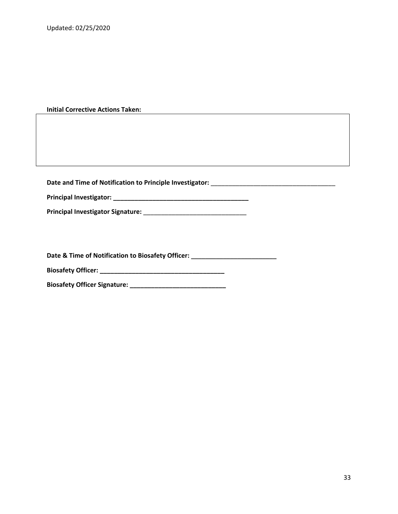#### **Initial Corrective Actions Taken:**

**Date and Time of Notification to Principle Investigator:** \_\_\_\_\_\_\_\_\_\_\_\_\_\_\_\_\_\_\_\_\_\_\_\_\_\_\_\_\_\_\_\_\_\_\_

**Principal Investigator: \_\_\_\_\_\_\_\_\_\_\_\_\_\_\_\_\_\_\_\_\_\_\_\_\_\_\_\_\_\_\_\_\_\_\_\_\_\_**

**Principal Investigator Signature:** \_\_\_\_\_\_\_\_\_\_\_\_\_\_\_\_\_\_\_\_\_\_\_\_\_\_\_\_\_

Date & Time of Notification to Biosafety Officer: \_\_\_\_\_\_\_\_\_\_\_\_\_\_\_\_\_\_\_\_\_\_\_\_\_\_\_\_\_\_

**Biosafety Officer: \_\_\_\_\_\_\_\_\_\_\_\_\_\_\_\_\_\_\_\_\_\_\_\_\_\_\_\_\_\_\_\_\_\_\_** 

**Biosafety Officer Signature: \_\_\_\_\_\_\_\_\_\_\_\_\_\_\_\_\_\_\_\_\_\_\_\_\_\_\_**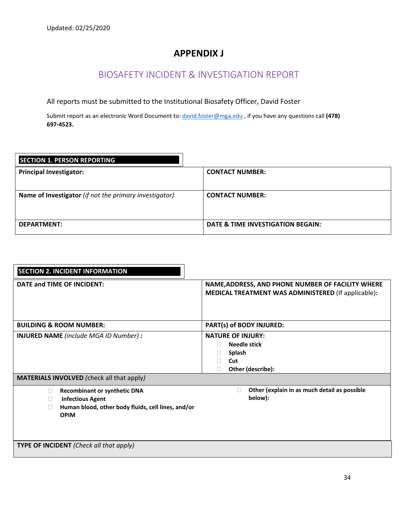# **APPENDIX J**

# BIOSAFETY INCIDENT & INVESTIGATION REPORT

All reports must be submitted to the Institutional Biosafety Officer, David Foster

Submit report as an electronic Word Document to: david.foster@mga.edu , if you have any questions call **(478) 697‐4523.** 

| <b>SECTION 1. PERSON REPORTING</b>                     |                                   |
|--------------------------------------------------------|-----------------------------------|
| <b>Principal Investigator:</b>                         | <b>CONTACT NUMBER:</b>            |
| Name of Investigator (if not the primary investigator) | <b>CONTACT NUMBER:</b>            |
| DEPARTMENT:                                            | DATE & TIME INVESTIGATION BEGAIN: |

| <b>SECTION 2. INCIDENT INFORMATION</b><br>DATE and TIME OF INCIDENT:                                                                                         | NAME, ADDRESS, AND PHONE NUMBER OF FACILITY WHERE<br>MEDICAL TREATMENT WAS ADMINISTERED (If applicable): |
|--------------------------------------------------------------------------------------------------------------------------------------------------------------|----------------------------------------------------------------------------------------------------------|
| <b>BUILDING &amp; ROOM NUMBER:</b>                                                                                                                           | PART(s) of BODY INJURED:                                                                                 |
| <b>INJURED NAME</b> (include MGA ID Number) :                                                                                                                | <b>NATURE OF INJURY:</b><br>Needle stick<br>П<br>Splash<br>Ш<br>Cut<br>Other (describe):<br>П            |
| <b>MATERIALS INVOLVED</b> (check all that apply)                                                                                                             |                                                                                                          |
| <b>Recombinant or synthetic DNA</b><br>$\Box$<br><b>Infectious Agent</b><br>$\Box$<br>Human blood, other body fluids, cell lines, and/or<br>л<br><b>OPIM</b> | Other (explain in as much detail as possible<br>П<br>below):                                             |
| <b>TYPE OF INCIDENT</b> (Check all that apply)                                                                                                               |                                                                                                          |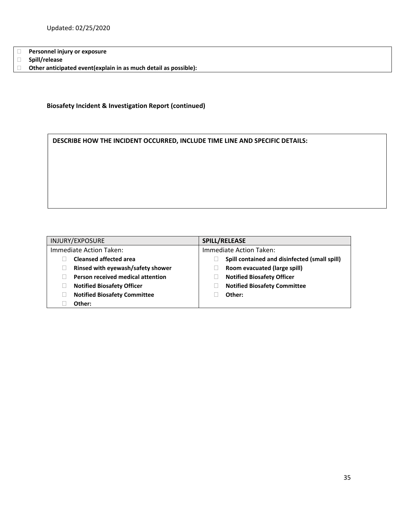**Personnel injury or exposure** 

 $\mathbf{I}$ 

**Spill/release** 

**Other anticipated event(explain in as much detail as possible):**

**Biosafety Incident & Investigation Report (continued)** 

**DESCRIBE HOW THE INCIDENT OCCURRED, INCLUDE TIME LINE AND SPECIFIC DETAILS:** 

| INJURY/EXPOSURE                     | SPILL/RELEASE                                 |
|-------------------------------------|-----------------------------------------------|
| Immediate Action Taken:             | Immediate Action Taken:                       |
| <b>Cleansed affected area</b>       | Spill contained and disinfected (small spill) |
| Rinsed with eyewash/safety shower   | Room evacuated (large spill)                  |
| Person received medical attention   | <b>Notified Biosafety Officer</b>             |
| <b>Notified Biosafety Officer</b>   | <b>Notified Biosafety Committee</b>           |
| <b>Notified Biosafety Committee</b> | Other:                                        |
| Other:                              |                                               |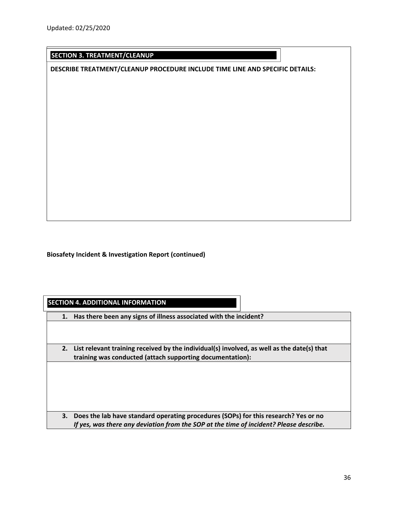# **SECTION 3. TREATMENT/CLEANUP**

**DESCRIBE TREATMENT/CLEANUP PROCEDURE INCLUDE TIME LINE AND SPECIFIC DETAILS:** 

**Biosafety Incident & Investigation Report (continued)** 

**SECTION 4. ADDITIONAL INFORMATION** 

**1. Has there been any signs of illness associated with the incident?** 

**2. List relevant training received by the individual(s) involved, as well as the date(s) that training was conducted (attach supporting documentation):** 

**3. Does the lab have standard operating procedures (SOPs) for this research? Yes or no**  *If yes, was there any deviation from the SOP at the time of incident? Please describe.*